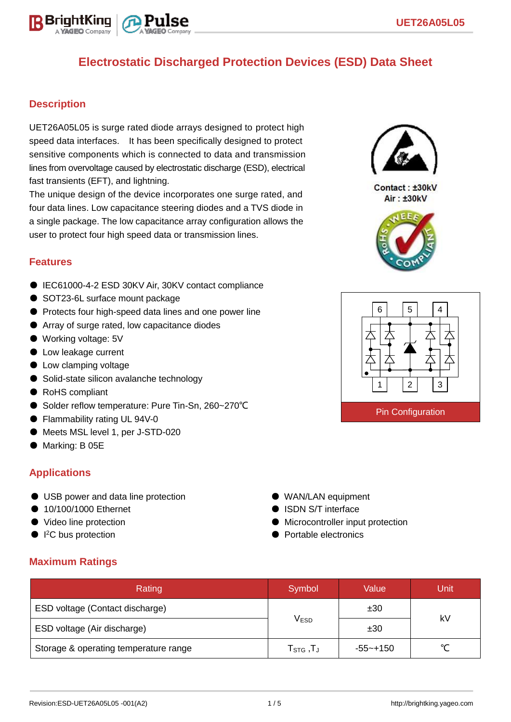

### **Description**

UET26A05L05 is surge rated diode arrays designed to protect high speed data interfaces. It has been specifically designed to protect sensitive components which is connected to data and transmission lines from overvoltage caused by electrostatic discharge (ESD), electrical fast transients (EFT), and lightning.

The unique design of the device incorporates one surge rated, and four data lines. Low capacitance steering diodes and a TVS diode in a single package. The low capacitance array configuration allows the user to protect four high speed data or transmission lines.

#### **Features**

- IEC61000-4-2 ESD 30KV Air, 30KV contact compliance
- SOT23-6L surface mount package
- Protects four high-speed data lines and one power line
- Array of surge rated, low capacitance diodes
- Working voltage: 5V
- Low leakage current
- Low clamping voltage
- Solid-state silicon avalanche technology
- RoHS compliant
- Solder reflow temperature: Pure Tin-Sn, 260~270°C
- Flammability rating UL 94V-0
- Meets MSL level 1, per J-STD-020
- Marking: B 05E

#### **Applications**

- USB power and data line protection
- 10/100/1000 Ethernet
- Video line protection
- $\bullet$  I<sup>2</sup>C bus protection
- WAN/LAN equipment
- ISDN S/T interface
- Microcontroller input protection
- Portable electronics

### **Maximum Ratings**

| Rating                                | Symbol               | Value       | Unit   |  |
|---------------------------------------|----------------------|-------------|--------|--|
| ESD voltage (Contact discharge)       |                      | ±30         | kV     |  |
| ESD voltage (Air discharge)           | <b>VESD</b>          | ±30         |        |  |
| Storage & operating temperature range | $T_{\text{STG}}$ ,TJ | $-55$ ~+150 | $\sim$ |  |



Contact: ±30kV Air: ±30kV



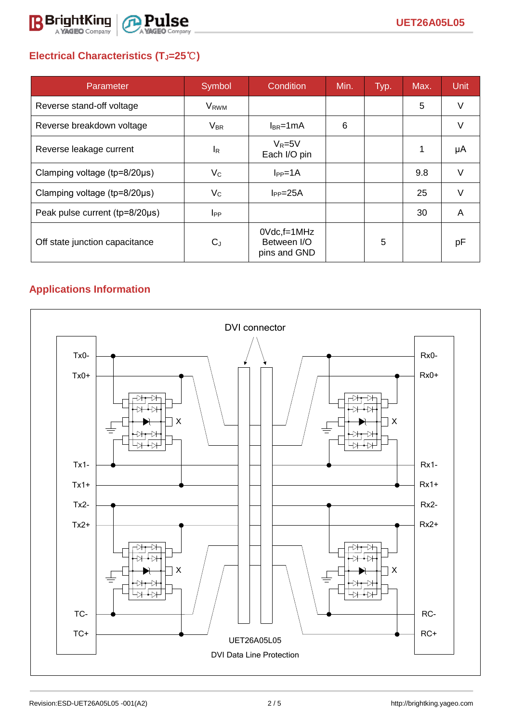

# **Electrical Characteristics (TJ=25**℃**)**

| Parameter                           | Symbol                 | Condition                                         | Min. | Typ. | Max. | <b>Unit</b> |
|-------------------------------------|------------------------|---------------------------------------------------|------|------|------|-------------|
| Reverse stand-off voltage           | <b>V<sub>RWM</sub></b> |                                                   |      |      | 5    | V           |
| Reverse breakdown voltage           | $V_{BR}$               | $I_{BR}$ =1mA                                     | 6    |      |      | V           |
| Reverse leakage current             | <sup>I</sup> R         | $V_R = 5V$<br>Each I/O pin                        |      |      |      | μA          |
| Clamping voltage ( $tp=8/20\mu s$ ) | $V_{\rm C}$            | $I_{PP}=1A$                                       |      |      | 9.8  | V           |
| Clamping voltage ( $tp=8/20\mu s$ ) | $V_{\rm C}$            | $I_{PP} = 25A$                                    |      |      | 25   | $\vee$      |
| Peak pulse current (tp=8/20µs)      | <b>I</b> <sub>PP</sub> |                                                   |      |      | 30   | A           |
| Off state junction capacitance      | $C_{J}$                | $0Vdc$ , f=1 $MHz$<br>Between I/O<br>pins and GND |      | 5    |      | рF          |

# **Applications Information**

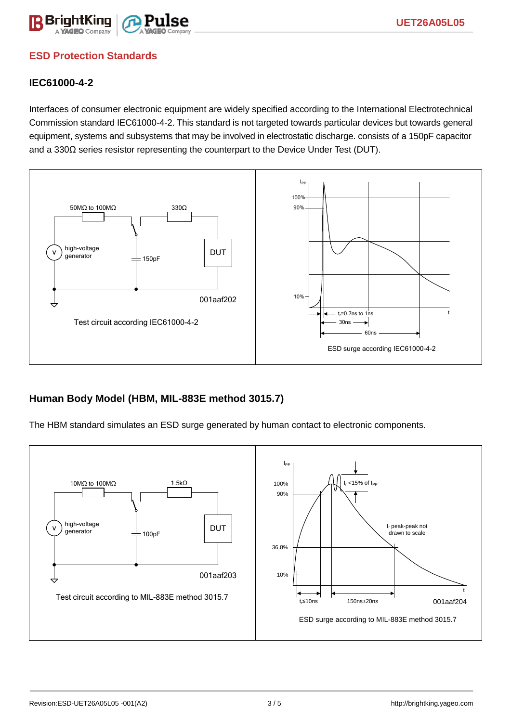

## **ESD Protection Standards**

### **IEC61000-4-2**

Interfaces of consumer electronic equipment are widely specified according to the International Electrotechnical Commission standard IEC61000-4-2. This standard is not targeted towards particular devices but towards general equipment, systems and subsystems that may be involved in electrostatic discharge. consists of a 150pF capacitor and a 330Ω series resistor representing the counterpart to the Device Under Test (DUT).



#### **Human Body Model (HBM, MIL-883E method 3015.7)**

The HBM standard simulates an ESD surge generated by human contact to electronic components.

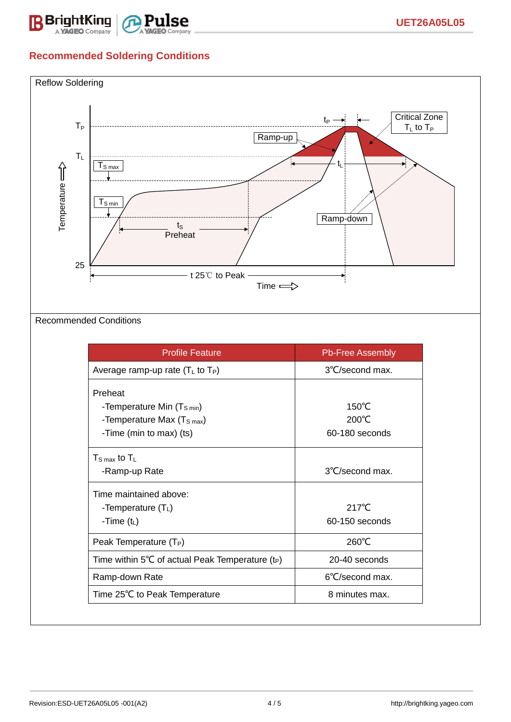

## **Recommended Soldering Conditions**